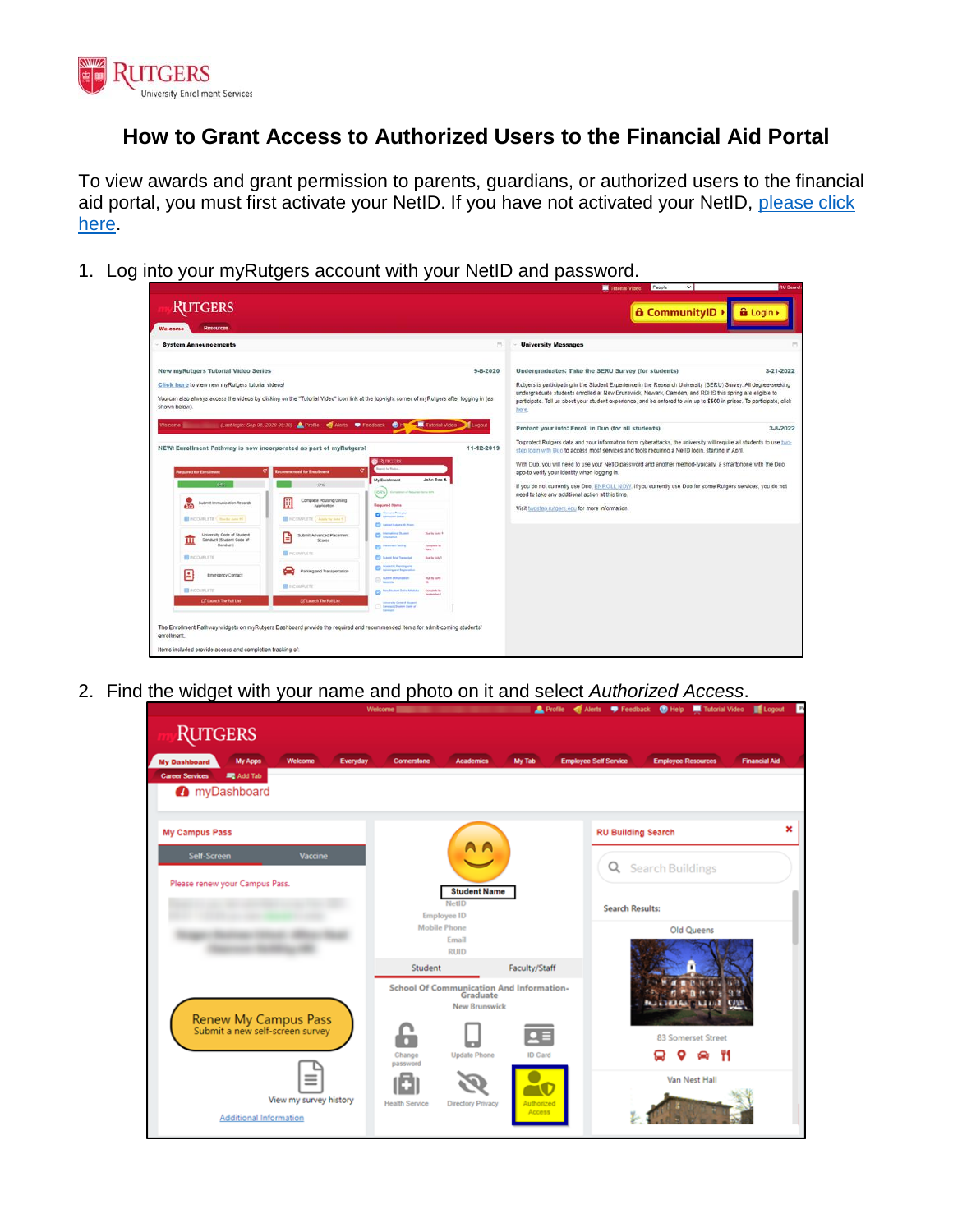

## **How to Grant Access to Authorized Users to the Financial Aid Portal**

To view awards and grant permission to parents, guardians, or authorized users to the financial aid portal, you must first activate your NetID. If you have not activated your NetID, please click [here.](https://netid.rutgers.edu/index.htm)

1. Log into your myRutgers account with your NetID and password.



2. Find the widget with your name and photo on it and select *Authorized Access*.

|                                                                     | Welcome <sup>ll</sup>                                                               |                      | Profile of Alerts P Feedback @ Help Tutorial Video Leopout<br><b>P</b>            |
|---------------------------------------------------------------------|-------------------------------------------------------------------------------------|----------------------|-----------------------------------------------------------------------------------|
| <b>RUTGERS</b>                                                      |                                                                                     |                      |                                                                                   |
| <b>My Apps</b><br><b>Welcome</b><br>Everyday<br><b>My Dashboard</b> | Cornerstone<br><b>Academics</b>                                                     | My Tab               | <b>Employee Resources</b><br><b>Employee Self Service</b><br><b>Financial Aid</b> |
| <b>Career Services</b><br>Add Tab<br>myDashboard                    |                                                                                     |                      |                                                                                   |
|                                                                     |                                                                                     |                      |                                                                                   |
| <b>My Campus Pass</b>                                               |                                                                                     |                      | ×<br><b>RU Building Search</b>                                                    |
| Self-Screen<br>Vaccine                                              | A A                                                                                 |                      | <b>Search Buildings</b><br>Q                                                      |
| Please renew your Campus Pass.                                      | <b>Student Name</b>                                                                 |                      |                                                                                   |
|                                                                     | NetID<br><b>Employee ID</b>                                                         |                      | <b>Search Results:</b>                                                            |
|                                                                     | <b>Mobile Phone</b><br>Email                                                        |                      | Old Queens                                                                        |
|                                                                     | <b>RUID</b>                                                                         |                      |                                                                                   |
|                                                                     | Student                                                                             | Faculty/Staff        |                                                                                   |
|                                                                     | <b>School Of Communication And Information-</b><br>Graduate<br><b>New Brunswick</b> |                      | n<br><b>BALLAND AND REALIST</b><br><b>CANN</b>                                    |
| Renew My Campus Pass<br>Submit a new self-screen survey             |                                                                                     |                      |                                                                                   |
|                                                                     |                                                                                     |                      | 83 Somerset Street                                                                |
|                                                                     | Change<br><b>Update Phone</b><br>password                                           | <b>ID Card</b>       | ۳١                                                                                |
| Ξ                                                                   |                                                                                     |                      | Van Nest Hall                                                                     |
| View my survey history                                              | <b>Health Service</b><br><b>Directory Privacy</b>                                   | Authorized<br>Access |                                                                                   |
| <b>Additional Information</b>                                       |                                                                                     |                      |                                                                                   |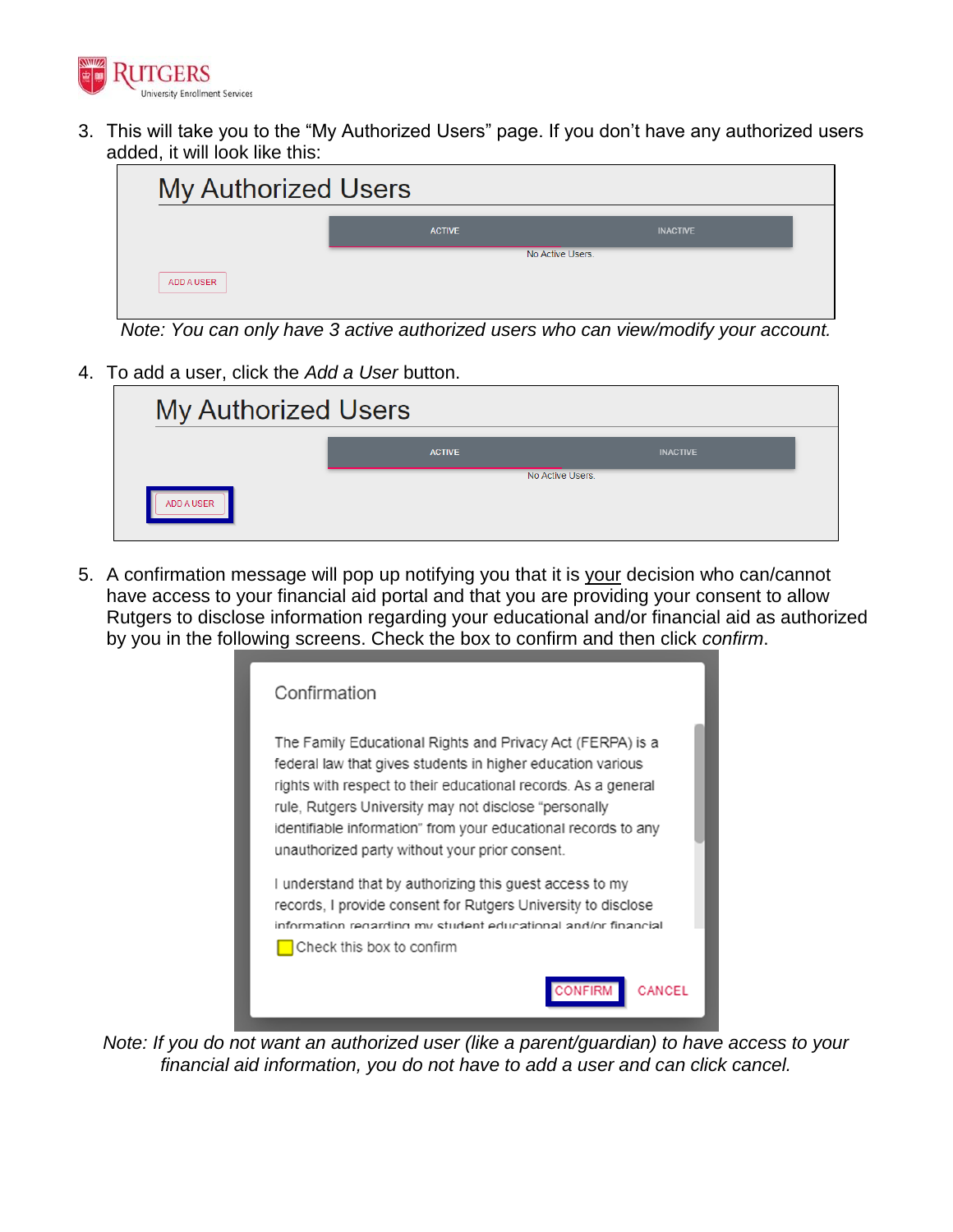

3. This will take you to the "My Authorized Users" page. If you don't have any authorized users added, it will look like this:

| <b>My Authorized Users</b> |               |                  |  |
|----------------------------|---------------|------------------|--|
|                            | <b>ACTIVE</b> | <b>INACTIVE</b>  |  |
|                            |               | No Active Users. |  |
| <b>ADD A USER</b>          |               |                  |  |

*Note: You can only have 3 active authorized users who can view/modify your account.*

4. To add a user, click the *Add a User* button.

| <b>My Authorized Users</b> |               |                  |  |
|----------------------------|---------------|------------------|--|
|                            | <b>ACTIVE</b> | <b>INACTIVE</b>  |  |
| ADD A USER                 |               | No Active Users. |  |
|                            |               |                  |  |

5. A confirmation message will pop up notifying you that it is your decision who can/cannot have access to your financial aid portal and that you are providing your consent to allow Rutgers to disclose information regarding your educational and/or financial aid as authorized by you in the following screens. Check the box to confirm and then click *confirm*.

| Confirmation                                                                                                                                                                                                                                                                                                                                                             |
|--------------------------------------------------------------------------------------------------------------------------------------------------------------------------------------------------------------------------------------------------------------------------------------------------------------------------------------------------------------------------|
| The Family Educational Rights and Privacy Act (FERPA) is a<br>federal law that gives students in higher education various<br>rights with respect to their educational records. As a general<br>rule, Rutgers University may not disclose "personally<br>identifiable information" from your educational records to any<br>unauthorized party without your prior consent. |
| I understand that by authorizing this guest access to my<br>records, I provide consent for Rutgers University to disclose<br>information regarding my student educational and/or financial<br>Check this box to confirm                                                                                                                                                  |
| ONFIRM<br>CANCEL                                                                                                                                                                                                                                                                                                                                                         |

*Note: If you do not want an authorized user (like a parent/guardian) to have access to your financial aid information, you do not have to add a user and can click cancel.*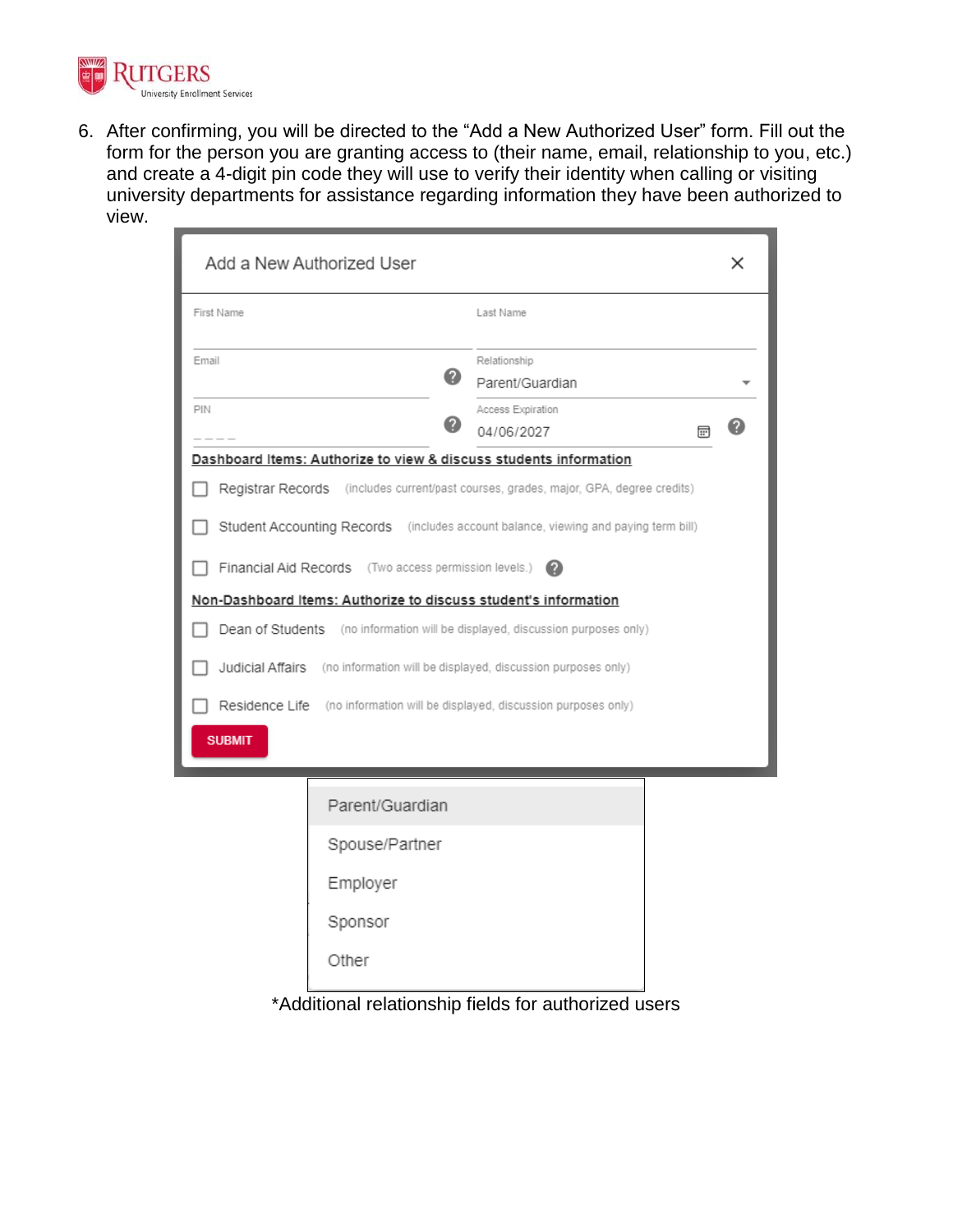

6. After confirming, you will be directed to the "Add a New Authorized User" form. Fill out the form for the person you are granting access to (their name, email, relationship to you, etc.) and create a 4-digit pin code they will use to verify their identity when calling or visiting university departments for assistance regarding information they have been authorized to view.

|               | Add a New Authorized User                             |                                                                                       |   | × |
|---------------|-------------------------------------------------------|---------------------------------------------------------------------------------------|---|---|
| First Name    |                                                       | Last Name                                                                             |   |   |
| Email         | 0                                                     | Relationship<br>Parent/Guardian                                                       |   |   |
| PIN           |                                                       | Access Expiration<br>04/06/2027                                                       | 壸 | 2 |
|               |                                                       | Dashboard Items: Authorize to view & discuss students information                     |   |   |
|               |                                                       | Registrar Records (includes current/past courses, grades, major, GPA, degree credits) |   |   |
|               |                                                       | Student Accounting Records (includes account balance, viewing and paying term bill)   |   |   |
|               | Financial Aid Records (Two access permission levels.) | Ø                                                                                     |   |   |
|               |                                                       | Non-Dashboard Items: Authorize to discuss student's information                       |   |   |
|               |                                                       | Dean of Students (no information will be displayed, discussion purposes only)         |   |   |
|               |                                                       | <b>Judicial Affairs</b> (no information will be displayed, discussion purposes only)  |   |   |
|               |                                                       | Residence Life (no information will be displayed, discussion purposes only)           |   |   |
| <b>SUBMIT</b> |                                                       |                                                                                       |   |   |
|               |                                                       |                                                                                       |   |   |
|               | Parent/Guardian                                       |                                                                                       |   |   |
|               | Spouse/Partner                                        |                                                                                       |   |   |
|               | Employer                                              |                                                                                       |   |   |
|               | Sponsor                                               |                                                                                       |   |   |
|               | Other                                                 |                                                                                       |   |   |
|               |                                                       | * Additional relationship fields for qutborized use                                   |   |   |

\*Additional relationship fields for authorized users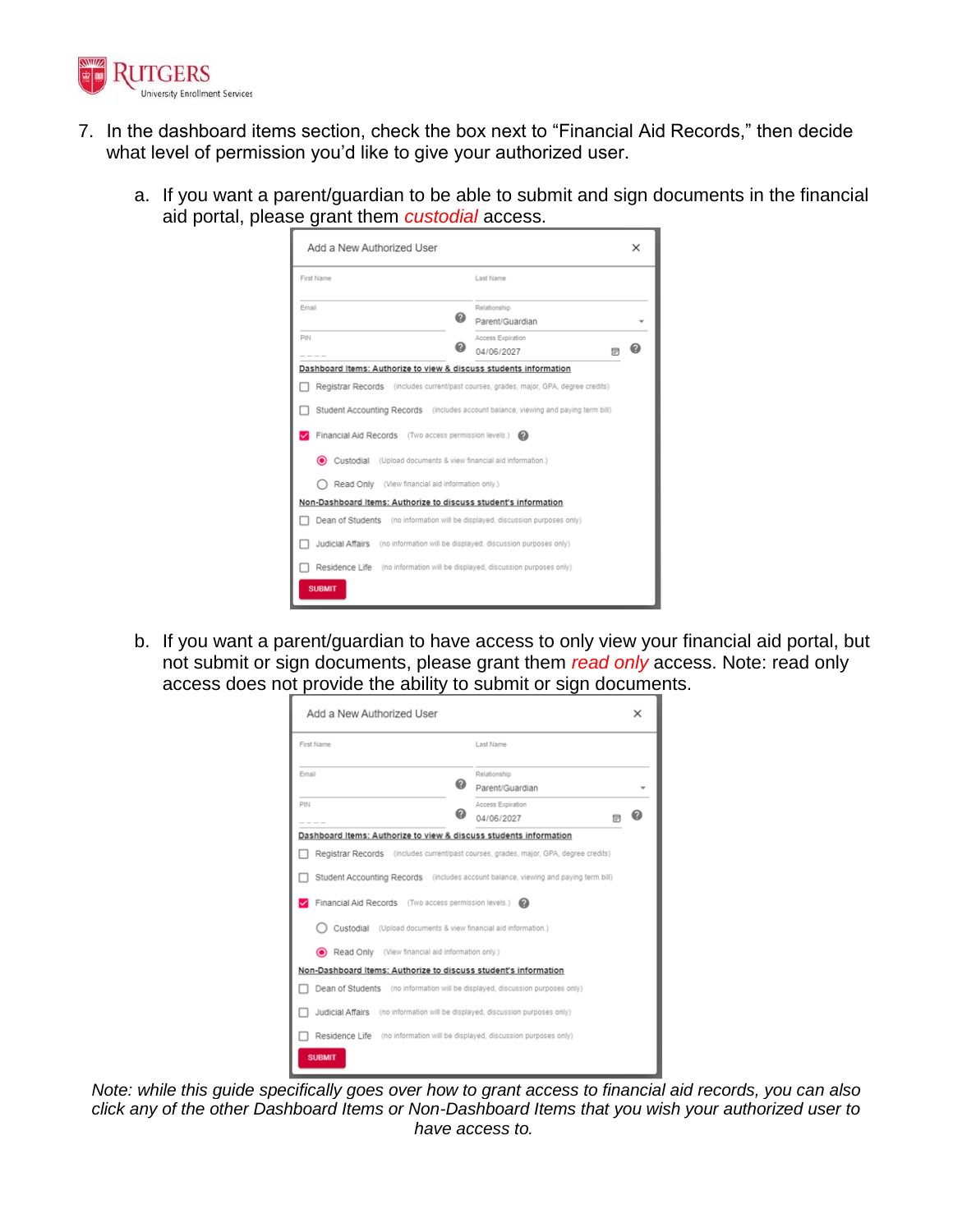

- 7. In the dashboard items section, check the box next to "Financial Aid Records," then decide what level of permission you'd like to give your authorized user.
	- a. If you want a parent/guardian to be able to submit and sign documents in the financial aid portal, please grant them *custodial* access.

| Add a New Authorized User                                                                                                                                                                                                                                                                                                                                                                                                                                                                                   |                                                                                                                                                                                                                                                               | × |
|-------------------------------------------------------------------------------------------------------------------------------------------------------------------------------------------------------------------------------------------------------------------------------------------------------------------------------------------------------------------------------------------------------------------------------------------------------------------------------------------------------------|---------------------------------------------------------------------------------------------------------------------------------------------------------------------------------------------------------------------------------------------------------------|---|
| First Name                                                                                                                                                                                                                                                                                                                                                                                                                                                                                                  | Last Name                                                                                                                                                                                                                                                     |   |
| Email                                                                                                                                                                                                                                                                                                                                                                                                                                                                                                       | Relationship<br>Parent/Guardian                                                                                                                                                                                                                               |   |
| PIN                                                                                                                                                                                                                                                                                                                                                                                                                                                                                                         | Access Expiration<br>04/06/2027                                                                                                                                                                                                                               |   |
| Dashboard Items: Authorize to view & discuss students information<br>Financial Aid Records (Two access permission levels.) @<br>◉<br>Custodial (Upload documents & view financial aid information.)<br>Read Only (View financial aid information only.)<br>Non-Dashboard Items: Authorize to discuss student's information<br>Judicial Affairs (no information will be displayed, discussion purposes only)<br>Residence Life (no information will be displayed, discussion purposes only)<br><b>SUBMIT</b> | Registrar Records (includes current/past courses, grades, major, GPA, degree credits)<br>Student Accounting Records (includes account balance, viewing and paying term bill)<br>Dean of Students (no information will be displayed, discussion purposes only) |   |

b. If you want a parent/guardian to have access to only view your financial aid portal, but not submit or sign documents, please grant them *read only* access. Note: read only access does not provide the ability to submit or sign documents.

| Add a New Authorized User                                                             |                                                              | × |
|---------------------------------------------------------------------------------------|--------------------------------------------------------------|---|
| First Name                                                                            | Last Name                                                    |   |
| Email<br>⋒                                                                            | Relationship<br>Parent/Guardian                              |   |
| PIN                                                                                   | Access Expiration<br>04/06/2027<br>ΠF                        |   |
| Dashboard Items: Authorize to view & discuss students information                     |                                                              |   |
| Registrar Records (includes current/past courses, grades, major, GPA, degree credits) |                                                              |   |
| Student Accounting Records (includes account balance, viewing and paying term bill)   |                                                              |   |
| Financial Aid Records (Two access permission levels.) @                               |                                                              |   |
| Custodial (Upload documents & view financial aid information.)                        |                                                              |   |
| Read Only (View financial aid information only.)<br>$\bullet$                         |                                                              |   |
| Non-Dashboard Items: Authorize to discuss student's information                       |                                                              |   |
| Dean of Students (no information will be displayed, discussion purposes only)         |                                                              |   |
| Judicial Affairs                                                                      | (no information will be displayed, discussion purposes only) |   |
| Residence Life (no information will be displayed, discussion purposes only)           |                                                              |   |
| <b>SUBMIT</b>                                                                         |                                                              |   |

*Note: while this guide specifically goes over how to grant access to financial aid records, you can also click any of the other Dashboard Items or Non-Dashboard Items that you wish your authorized user to have access to.*